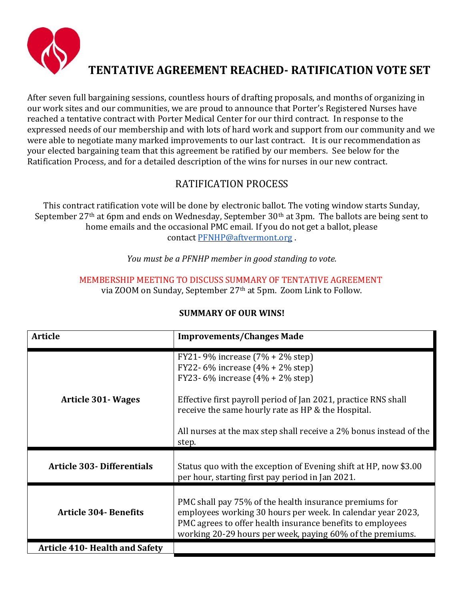

## **TENTATIVE AGREEMENT REACHED- RATIFICATION VOTE SET**

After seven full bargaining sessions, countless hours of drafting proposals, and months of organizing in our work sites and our communities, we are proud to announce that Porter's Registered Nurses have reached a tentative contract with Porter Medical Center for our third contract. In response to the expressed needs of our membership and with lots of hard work and support from our community and we were able to negotiate many marked improvements to our last contract. It is our recommendation as your elected bargaining team that this agreement be ratified by our members. See below for the Ratification Process, and for a detailed description of the wins for nurses in our new contract.

## RATIFICATION PROCESS

This contract ratification vote will be done by electronic ballot. The voting window starts Sunday, September 27<sup>th</sup> at 6pm and ends on Wednesday, September 30<sup>th</sup> at 3pm. The ballots are being sent to home emails and the occasional PMC email. If you do not get a ballot, please contact [PFNHP@aftvermont.org](mailto:PFNHP@aftvermont.org) .

*You must be a PFNHP member in good standing to vote.*

MEMBERSHIP MEETING TO DISCUSS SUMMARY OF TENTATIVE AGREEMENT via ZOOM on Sunday, September 27th at 5pm. Zoom Link to Follow.

| <b>Article</b>                        | <b>Improvements/Changes Made</b>                                                                                                                                                                                                                                                                                    |
|---------------------------------------|---------------------------------------------------------------------------------------------------------------------------------------------------------------------------------------------------------------------------------------------------------------------------------------------------------------------|
| Article 301 Wages                     | FY21-9% increase $(7% + 2%$ step)<br>FY22- 6% increase $(4% + 2%$ step)<br>FY23-6% increase $(4% + 2%$ step)<br>Effective first payroll period of Jan 2021, practice RNS shall<br>receive the same hourly rate as HP & the Hospital.<br>All nurses at the max step shall receive a 2% bonus instead of the<br>step. |
| <b>Article 303- Differentials</b>     | Status quo with the exception of Evening shift at HP, now \$3.00<br>per hour, starting first pay period in Jan 2021.                                                                                                                                                                                                |
| <b>Article 304- Benefits</b>          | PMC shall pay 75% of the health insurance premiums for<br>employees working 30 hours per week. In calendar year 2023,<br>PMC agrees to offer health insurance benefits to employees<br>working 20-29 hours per week, paying 60% of the premiums.                                                                    |
| <b>Article 410- Health and Safety</b> |                                                                                                                                                                                                                                                                                                                     |

## **SUMMARY OF OUR WINS!**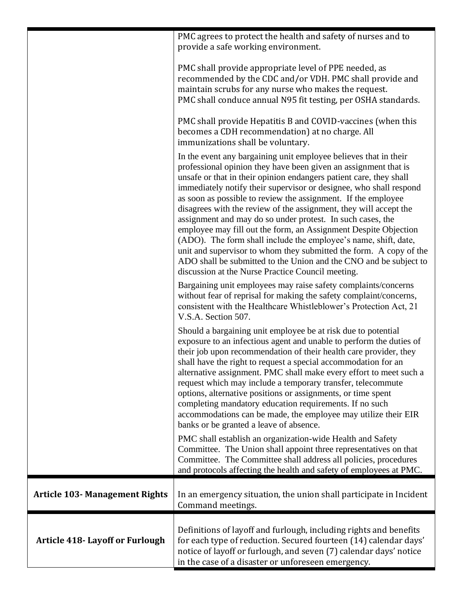|                                        | PMC agrees to protect the health and safety of nurses and to<br>provide a safe working environment.                                                                                                                                                                                                                                                                                                                                                                                                                                                                                                                                                                                                                                                                                                                       |
|----------------------------------------|---------------------------------------------------------------------------------------------------------------------------------------------------------------------------------------------------------------------------------------------------------------------------------------------------------------------------------------------------------------------------------------------------------------------------------------------------------------------------------------------------------------------------------------------------------------------------------------------------------------------------------------------------------------------------------------------------------------------------------------------------------------------------------------------------------------------------|
|                                        | PMC shall provide appropriate level of PPE needed, as<br>recommended by the CDC and/or VDH. PMC shall provide and<br>maintain scrubs for any nurse who makes the request.<br>PMC shall conduce annual N95 fit testing, per OSHA standards.                                                                                                                                                                                                                                                                                                                                                                                                                                                                                                                                                                                |
|                                        | PMC shall provide Hepatitis B and COVID-vaccines (when this<br>becomes a CDH recommendation) at no charge. All<br>immunizations shall be voluntary.                                                                                                                                                                                                                                                                                                                                                                                                                                                                                                                                                                                                                                                                       |
|                                        | In the event any bargaining unit employee believes that in their<br>professional opinion they have been given an assignment that is<br>unsafe or that in their opinion endangers patient care, they shall<br>immediately notify their supervisor or designee, who shall respond<br>as soon as possible to review the assignment. If the employee<br>disagrees with the review of the assignment, they will accept the<br>assignment and may do so under protest. In such cases, the<br>employee may fill out the form, an Assignment Despite Objection<br>(ADO). The form shall include the employee's name, shift, date,<br>unit and supervisor to whom they submitted the form. A copy of the<br>ADO shall be submitted to the Union and the CNO and be subject to<br>discussion at the Nurse Practice Council meeting. |
|                                        | Bargaining unit employees may raise safety complaints/concerns<br>without fear of reprisal for making the safety complaint/concerns,<br>consistent with the Healthcare Whistleblower's Protection Act, 21<br>V.S.A. Section 507.                                                                                                                                                                                                                                                                                                                                                                                                                                                                                                                                                                                          |
|                                        | Should a bargaining unit employee be at risk due to potential<br>exposure to an infectious agent and unable to perform the duties of<br>their job upon recommendation of their health care provider, they<br>shall have the right to request a special accommodation for an<br>alternative assignment. PMC shall make every effort to meet such a<br>request which may include a temporary transfer, telecommute<br>options, alternative positions or assignments, or time spent<br>completing mandatory education requirements. If no such<br>accommodations can be made, the employee may utilize their EIR<br>banks or be granted a leave of absence.                                                                                                                                                                  |
|                                        | PMC shall establish an organization-wide Health and Safety<br>Committee. The Union shall appoint three representatives on that<br>Committee. The Committee shall address all policies, procedures<br>and protocols affecting the health and safety of employees at PMC.                                                                                                                                                                                                                                                                                                                                                                                                                                                                                                                                                   |
| <b>Article 103- Management Rights</b>  | In an emergency situation, the union shall participate in Incident<br>Command meetings.                                                                                                                                                                                                                                                                                                                                                                                                                                                                                                                                                                                                                                                                                                                                   |
| <b>Article 418- Layoff or Furlough</b> | Definitions of layoff and furlough, including rights and benefits<br>for each type of reduction. Secured fourteen (14) calendar days'<br>notice of layoff or furlough, and seven (7) calendar days' notice<br>in the case of a disaster or unforeseen emergency.                                                                                                                                                                                                                                                                                                                                                                                                                                                                                                                                                          |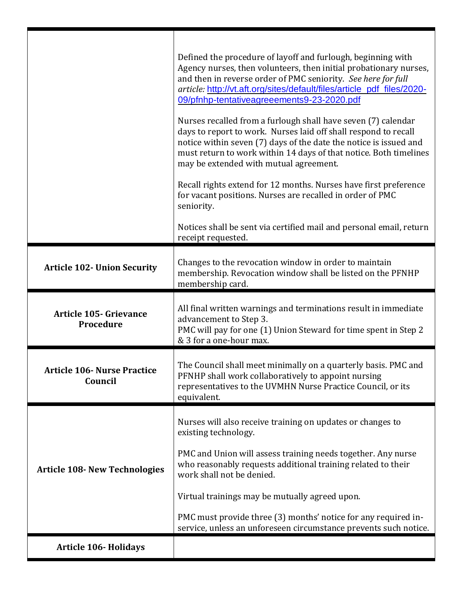|                                               | Defined the procedure of layoff and furlough, beginning with<br>Agency nurses, then volunteers, then initial probationary nurses,<br>and then in reverse order of PMC seniority. See here for full<br>article: http://vt.aft.org/sites/default/files/article_pdf_files/2020-<br>09/pfnhp-tentativeagreeements9-23-2020.pdf<br>Nurses recalled from a furlough shall have seven (7) calendar<br>days to report to work. Nurses laid off shall respond to recall<br>notice within seven (7) days of the date the notice is issued and<br>must return to work within 14 days of that notice. Both timelines<br>may be extended with mutual agreement.<br>Recall rights extend for 12 months. Nurses have first preference<br>for vacant positions. Nurses are recalled in order of PMC<br>seniority.<br>Notices shall be sent via certified mail and personal email, return<br>receipt requested. |
|-----------------------------------------------|------------------------------------------------------------------------------------------------------------------------------------------------------------------------------------------------------------------------------------------------------------------------------------------------------------------------------------------------------------------------------------------------------------------------------------------------------------------------------------------------------------------------------------------------------------------------------------------------------------------------------------------------------------------------------------------------------------------------------------------------------------------------------------------------------------------------------------------------------------------------------------------------|
| <b>Article 102- Union Security</b>            | Changes to the revocation window in order to maintain<br>membership. Revocation window shall be listed on the PFNHP<br>membership card.                                                                                                                                                                                                                                                                                                                                                                                                                                                                                                                                                                                                                                                                                                                                                        |
| <b>Article 105- Grievance</b><br>Procedure    | All final written warnings and terminations result in immediate<br>advancement to Step 3.<br>PMC will pay for one (1) Union Steward for time spent in Step 2<br>& 3 for a one-hour max.                                                                                                                                                                                                                                                                                                                                                                                                                                                                                                                                                                                                                                                                                                        |
| <b>Article 106- Nurse Practice</b><br>Council | The Council shall meet minimally on a quarterly basis. PMC and<br>PFNHP shall work collaboratively to appoint nursing<br>representatives to the UVMHN Nurse Practice Council, or its<br>equivalent.                                                                                                                                                                                                                                                                                                                                                                                                                                                                                                                                                                                                                                                                                            |
| <b>Article 108- New Technologies</b>          | Nurses will also receive training on updates or changes to<br>existing technology.<br>PMC and Union will assess training needs together. Any nurse<br>who reasonably requests additional training related to their<br>work shall not be denied.<br>Virtual trainings may be mutually agreed upon.<br>PMC must provide three (3) months' notice for any required in-<br>service, unless an unforeseen circumstance prevents such notice.                                                                                                                                                                                                                                                                                                                                                                                                                                                        |
| <b>Article 106- Holidays</b>                  |                                                                                                                                                                                                                                                                                                                                                                                                                                                                                                                                                                                                                                                                                                                                                                                                                                                                                                |

Π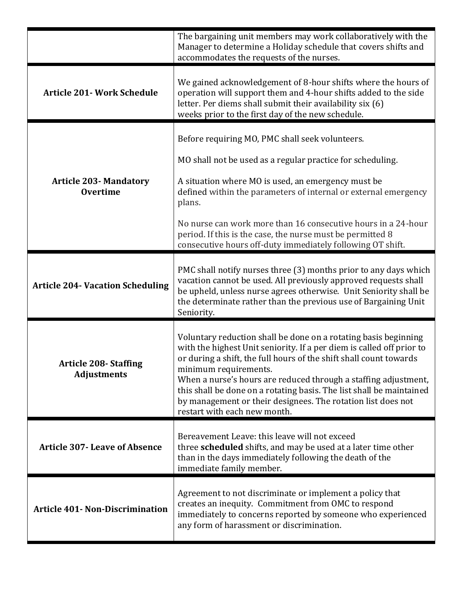|                                                    | The bargaining unit members may work collaboratively with the<br>Manager to determine a Holiday schedule that covers shifts and<br>accommodates the requests of the nurses.                                                                                                                                                                                                                                                                                                        |
|----------------------------------------------------|------------------------------------------------------------------------------------------------------------------------------------------------------------------------------------------------------------------------------------------------------------------------------------------------------------------------------------------------------------------------------------------------------------------------------------------------------------------------------------|
| <b>Article 201- Work Schedule</b>                  | We gained acknowledgement of 8-hour shifts where the hours of<br>operation will support them and 4-hour shifts added to the side<br>letter. Per diems shall submit their availability six (6)<br>weeks prior to the first day of the new schedule.                                                                                                                                                                                                                                 |
| <b>Article 203-Mandatory</b><br><b>Overtime</b>    | Before requiring MO, PMC shall seek volunteers.<br>MO shall not be used as a regular practice for scheduling.<br>A situation where MO is used, an emergency must be<br>defined within the parameters of internal or external emergency<br>plans.<br>No nurse can work more than 16 consecutive hours in a 24-hour<br>period. If this is the case, the nurse must be permitted 8<br>consecutive hours off-duty immediately following OT shift.                                      |
| <b>Article 204- Vacation Scheduling</b>            | PMC shall notify nurses three (3) months prior to any days which<br>vacation cannot be used. All previously approved requests shall<br>be upheld, unless nurse agrees otherwise. Unit Seniority shall be<br>the determinate rather than the previous use of Bargaining Unit<br>Seniority.                                                                                                                                                                                          |
| <b>Article 208- Staffing</b><br><b>Adjustments</b> | Voluntary reduction shall be done on a rotating basis beginning<br>with the highest Unit seniority. If a per diem is called off prior to<br>or during a shift, the full hours of the shift shall count towards<br>minimum requirements.<br>When a nurse's hours are reduced through a staffing adjustment,<br>this shall be done on a rotating basis. The list shall be maintained<br>by management or their designees. The rotation list does not<br>restart with each new month. |
| <b>Article 307- Leave of Absence</b>               | Bereavement Leave: this leave will not exceed<br>three scheduled shifts, and may be used at a later time other<br>than in the days immediately following the death of the<br>immediate family member.                                                                                                                                                                                                                                                                              |
| <b>Article 401- Non-Discrimination</b>             | Agreement to not discriminate or implement a policy that<br>creates an inequity. Commitment from OMC to respond<br>immediately to concerns reported by someone who experienced<br>any form of harassment or discrimination.                                                                                                                                                                                                                                                        |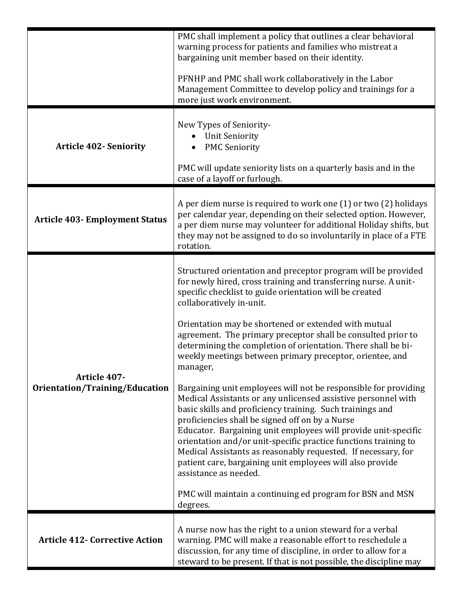|                                                | PMC shall implement a policy that outlines a clear behavioral<br>warning process for patients and families who mistreat a<br>bargaining unit member based on their identity.                                                                                                                                                                                                                                                                                                                                                                 |
|------------------------------------------------|----------------------------------------------------------------------------------------------------------------------------------------------------------------------------------------------------------------------------------------------------------------------------------------------------------------------------------------------------------------------------------------------------------------------------------------------------------------------------------------------------------------------------------------------|
|                                                | PFNHP and PMC shall work collaboratively in the Labor<br>Management Committee to develop policy and trainings for a<br>more just work environment.                                                                                                                                                                                                                                                                                                                                                                                           |
| <b>Article 402- Seniority</b>                  | New Types of Seniority-<br><b>Unit Seniority</b><br><b>PMC Seniority</b><br>PMC will update seniority lists on a quarterly basis and in the<br>case of a layoff or furlough.                                                                                                                                                                                                                                                                                                                                                                 |
| <b>Article 403- Employment Status</b>          | A per diem nurse is required to work one (1) or two (2) holidays<br>per calendar year, depending on their selected option. However,<br>a per diem nurse may volunteer for additional Holiday shifts, but<br>they may not be assigned to do so involuntarily in place of a FTE<br>rotation.                                                                                                                                                                                                                                                   |
| Article 407-<br>Orientation/Training/Education | Structured orientation and preceptor program will be provided<br>for newly hired, cross training and transferring nurse. A unit-<br>specific checklist to guide orientation will be created<br>collaboratively in-unit.                                                                                                                                                                                                                                                                                                                      |
|                                                | Orientation may be shortened or extended with mutual<br>agreement. The primary preceptor shall be consulted prior to<br>determining the completion of orientation. There shall be bi-<br>weekly meetings between primary preceptor, orientee, and<br>manager,                                                                                                                                                                                                                                                                                |
|                                                | Bargaining unit employees will not be responsible for providing<br>Medical Assistants or any unlicensed assistive personnel with<br>basic skills and proficiency training. Such trainings and<br>proficiencies shall be signed off on by a Nurse<br>Educator. Bargaining unit employees will provide unit-specific<br>orientation and/or unit-specific practice functions training to<br>Medical Assistants as reasonably requested. If necessary, for<br>patient care, bargaining unit employees will also provide<br>assistance as needed. |
|                                                | PMC will maintain a continuing ed program for BSN and MSN<br>degrees.                                                                                                                                                                                                                                                                                                                                                                                                                                                                        |
| <b>Article 412- Corrective Action</b>          | A nurse now has the right to a union steward for a verbal<br>warning. PMC will make a reasonable effort to reschedule a<br>discussion, for any time of discipline, in order to allow for a<br>steward to be present. If that is not possible, the discipline may                                                                                                                                                                                                                                                                             |